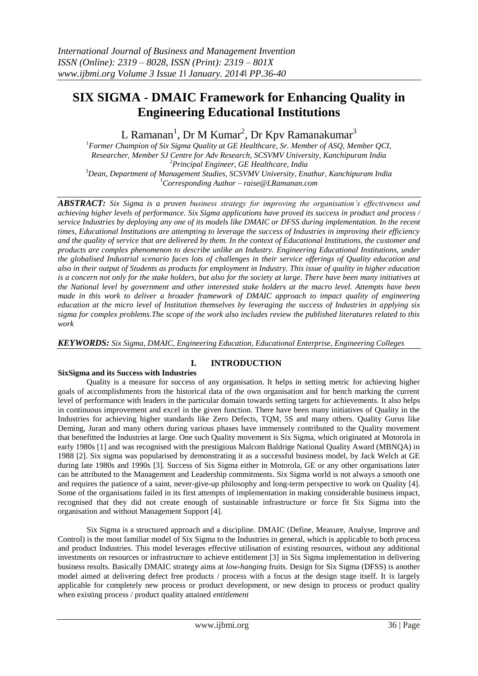# **SIX SIGMA - DMAIC Framework for Enhancing Quality in Engineering Educational Institutions**

L Ramanan<sup>1</sup>, Dr M Kumar<sup>2</sup>, Dr Kpv Ramanakumar<sup>3</sup>

*Former Champion of Six Sigma Quality at GE Healthcare, Sr. Member of ASQ, Member QCI, Researcher, Member SJ Centre for Adv Research, SCSVMV University, Kanchipuram India Principal Engineer, GE Healthcare, India Dean, Department of Management Studies, SCSVMV University, Enathur, Kanchipuram India Corresponding Author – raise@LRamanan.com*

*ABSTRACT: Six Sigma is a proven business strategy for improving the organisation's effectiveness and achieving higher levels of performance. Six Sigma applications have proved its success in product and process / service Industries by deploying any one of its models like DMAIC or DFSS during implementation. In the recent times, Educational Institutions are attempting to leverage the success of Industries in improving their efficiency and the quality of service that are delivered by them. In the context of Educational Institutions, the customer and products are complex phenomenon to describe unlike an Industry. Engineering Educational Institutions, under the globalised Industrial scenario faces lots of challenges in their service offerings of Quality education and also in their output of Students as products for employment in Industry. This issue of quality in higher education is a concern not only for the stake holders, but also for the society at large. There have been many initiatives at the National level by government and other interested stake holders at the macro level. Attempts have been made in this work to deliver a broader framework of DMAIC approach to impact quality of engineering education at the micro level of Institution themselves by leveraging the success of Industries in applying six sigma for complex problems.The scope of the work also includes review the published literatures related to this work*

*KEYWORDS: Six Sigma, DMAIC, Engineering Education, Educational Enterprise, Engineering Colleges*

## **I. INTRODUCTION**

#### **SixSigma and its Success with Industries**

Quality is a measure for success of any organisation. It helps in setting metric for achieving higher goals of accomplishments from the historical data of the own organisation and for bench marking the current level of performance with leaders in the particular domain towards setting targets for achievements. It also helps in continuous improvement and excel in the given function. There have been many initiatives of Quality in the Industries for achieving higher standards like Zero Defects, TQM, 5S and many others. Quality Gurus like Deming, Juran and many others during various phases have immensely contributed to the Quality movement that benefitted the Industries at large. One such Quality movement is Six Sigma, which originated at Motorola in early 1980s [1] and was recognised with the prestigious Malcom Baldrige National Quality Award (MBNQA) in 1988 [2]. Six sigma was popularised by demonstrating it as a successful business model, by Jack Welch at GE during late 1980s and 1990s [3]. Success of Six Sigma either in Motorola, GE or any other organisations later can be attributed to the Management and Leadership commitments. Six Sigma world is not always a smooth one and requires the patience of a saint, never-give-up philosophy and long-term perspective to work on Quality [4]. Some of the organisations failed in its first attempts of implementation in making considerable business impact, recognised that they did not create enough of sustainable infrastructure or force fit Six Sigma into the organisation and without Management Support [4].

Six Sigma is a structured approach and a discipline. DMAIC (Define, Measure, Analyse, Improve and Control) is the most familiar model of Six Sigma to the Industries in general, which is applicable to both process and product Industries. This model leverages effective utilisation of existing resources, without any additional investments on resources or infrastructure to achieve entitlement [3] in Six Sigma implementation in delivering business results. Basically DMAIC strategy aims at *low-hanging* fruits. Design for Six Sigma (DFSS) is another model aimed at delivering defect free products / process with a focus at the design stage itself. It is largely applicable for completely new process or product development, or new design to process or product quality when existing process / product quality attained *entitlement*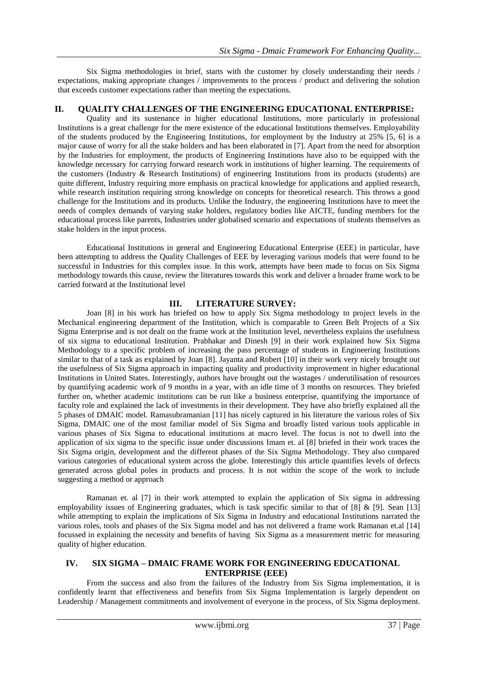Six Sigma methodologies in brief, starts with the customer by closely understanding their needs / expectations, making appropriate changes / improvements to the process / product and delivering the solution that exceeds customer expectations rather than meeting the expectations.

### **II. QUALITY CHALLENGES OF THE ENGINEERING EDUCATIONAL ENTERPRISE:**

Quality and its sustenance in higher educational Institutions, more particularly in professional Institutions is a great challenge for the mere existence of the educational Institutions themselves. Employability of the students produced by the Engineering Institutions, for employment by the Industry at 25% [5, 6] is a major cause of worry for all the stake holders and has been elaborated in [7]. Apart from the need for absorption by the Industries for employment, the products of Engineering Institutions have also to be equipped with the knowledge necessary for carrying forward research work in institutions of higher learning. The requirements of the customers (Industry & Research Institutions) of engineering Institutions from its products (students) are quite different, Industry requiring more emphasis on practical knowledge for applications and applied research, while research institution requiring strong knowledge on concepts for theoretical research. This throws a good challenge for the Institutions and its products. Unlike the Industry, the engineering Institutions have to meet the needs of complex demands of varying stake holders, regulatory bodies like AICTE, funding members for the educational process like parents, Industries under globalised scenario and expectations of students themselves as stake holders in the input process.

Educational Institutions in general and Engineering Educational Enterprise (EEE) in particular, have been attempting to address the Quality Challenges of EEE by leveraging various models that were found to be successful in Industries for this complex issue. In this work, attempts have been made to focus on Six Sigma methodology towards this cause, review the literatures towards this work and deliver a broader frame work to be carried forward at the Institutional level

## **III. LITERATURE SURVEY:**

Joan [8] in his work has briefed on how to apply Six Sigma methodology to project levels in the Mechanical engineering department of the Institution, which is comparable to Green Belt Projects of a Six Sigma Enterprise and is not dealt on the frame work at the Institution level, nevertheless explains the usefulness of six sigma to educational Institution. Prabhakar and Dinesh [9] in their work explained how Six Sigma Methodology to a specific problem of increasing the pass percentage of students in Engineering Institutions similar to that of a task as explained by Joan [8]. Jayanta and Robert [10] in their work very nicely brought out the usefulness of Six Sigma approach in impacting quality and productivity improvement in higher educational Institutions in United States. Interestingly, authors have brought out the wastages / underutilisation of resources by quantifying academic work of 9 months in a year, with an idle time of 3 months on resources. They briefed further on, whether academic institutions can be run like a business enterprise, quantifying the importance of faculty role and explained the lack of investments in their development. They have also briefly explained all the 5 phases of DMAIC model. Ramasubramanian [11] has nicely captured in his literature the various roles of Six Sigma, DMAIC one of the most familiar model of Six Sigma and broadly listed various tools applicable in various phases of Six Sigma to educational institutions at macro level. The focus is not to dwell into the application of six sigma to the specific issue under discussions Imam et. al [8] briefed in their work traces the Six Sigma origin, development and the different phases of the Six Sigma Methodology. They also compared various categories of educational system across the globe. Interestingly this article quantifies levels of defects generated across global poles in products and process. It is not within the scope of the work to include suggesting a method or approach

Ramanan et. al [7] in their work attempted to explain the application of Six sigma in addressing employability issues of Engineering graduates, which is task specific similar to that of [8] & [9]. Sean [13] while attempting to explain the implications of Six Sigma in Industry and educational Institutions narrated the various roles, tools and phases of the Six Sigma model and has not delivered a frame work Ramanan et.al [14] focussed in explaining the necessity and benefits of having Six Sigma as a measurement metric for measuring quality of higher education.

#### **IV. SIX SIGMA – DMAIC FRAME WORK FOR ENGINEERING EDUCATIONAL ENTERPRISE (EEE)**

From the success and also from the failures of the Industry from Six Sigma implementation, it is confidently learnt that effectiveness and benefits from Six Sigma Implementation is largely dependent on Leadership / Management commitments and involvement of everyone in the process, of Six Sigma deployment.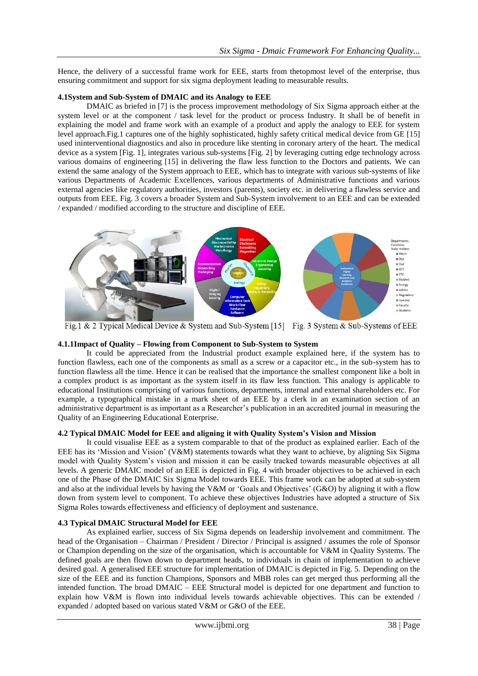Hence, the delivery of a successful frame work for EEE, starts from thetopmost level of the enterprise, thus ensuring commitment and support for six sigma deployment leading to measurable results.

#### **4.1System and Sub-System of DMAIC and its Analogy to EEE**

DMAIC as briefed in [7] is the process improvement methodology of Six Sigma approach either at the system level or at the component / task level for the product or process Industry. It shall be of benefit in explaining the model and frame work with an example of a product and apply the analogy to EEE for system level approach.Fig.1 captures one of the highly sophisticated, highly safety critical medical device from GE [15] used ininterventional diagnostics and also in procedure like stenting in coronary artery of the heart. The medical device as a system [Fig. 1], integrates various sub-systems [Fig. 2] by leveraging cutting edge technology across various domains of engineering [15] in delivering the flaw less function to the Doctors and patients. We can extend the same analogy of the System approach to EEE, which has to integrate with various sub-systems of like various Departments of Academic Excellences, various departments of Administrative functions and various external agencies like regulatory authorities, investors (parents), society etc. in delivering a flawless service and outputs from EEE. Fig. 3 covers a broader System and Sub-System involvement to an EEE and can be extended / expanded / modified according to the structure and discipline of EEE.



Fig. 1 & 2 Typical Medical Device & System and Sub-System [15] Fig. 3 System & Sub-Systems of EEE

#### **4.1.1Impact of Quality – Flowing from Component to Sub-System to System**

It could be appreciated from the Industrial product example explained here, if the system has to function flawless, each one of the components as small as a screw or a capacitor etc., in the sub-system has to function flawless all the time. Hence it can be realised that the importance the smallest component like a bolt in a complex product is as important as the system itself in its flaw less function. This analogy is applicable to educational Institutions comprising of various functions, departments, internal and external shareholders etc. For example, a typographical mistake in a mark sheet of an EEE by a clerk in an examination section of an administrative department is as important as a Researcher's publication in an accredited journal in measuring the Quality of an Engineering Educational Enterprise.

#### **4.2 Typical DMAIC Model for EEE and aligning it with Quality System's Vision and Mission**

It could visualise EEE as a system comparable to that of the product as explained earlier. Each of the EEE has its 'Mission and Vision' (V&M) statements towards what they want to achieve, by aligning Six Sigma model with Quality System's vision and mission it can be easily tracked towards measurable objectives at all levels. A generic DMAIC model of an EEE is depicted in Fig. 4 with broader objectives to be achieved in each one of the Phase of the DMAIC Six Sigma Model towards EEE. This frame work can be adopted at sub-system and also at the individual levels by having the V&M or 'Goals and Objectives' (G&O) by aligning it with a flow down from system level to component. To achieve these objectives Industries have adopted a structure of Six Sigma Roles towards effectiveness and efficiency of deployment and sustenance.

#### **4.3 Typical DMAIC Structural Model for EEE**

As explained earlier, success of Six Sigma depends on leadership involvement and commitment. The head of the Organisation – Chairman / President / Director / Principal is assigned / assumes the role of Sponsor or Champion depending on the size of the organisation, which is accountable for V&M in Quality Systems. The defined goals are then flown down to department heads, to individuals in chain of implementation to achieve desired goal. A generalised EEE structure for implementation of DMAIC is depicted in Fig. 5. Depending on the size of the EEE and its function Champions, Sponsors and MBB roles can get merged thus performing all the intended function. The broad DMAIC – EEE Structural model is depicted for one department and function to explain how V&M is flown into individual levels towards achievable objectives. This can be extended / expanded / adopted based on various stated V&M or G&O of the EEE.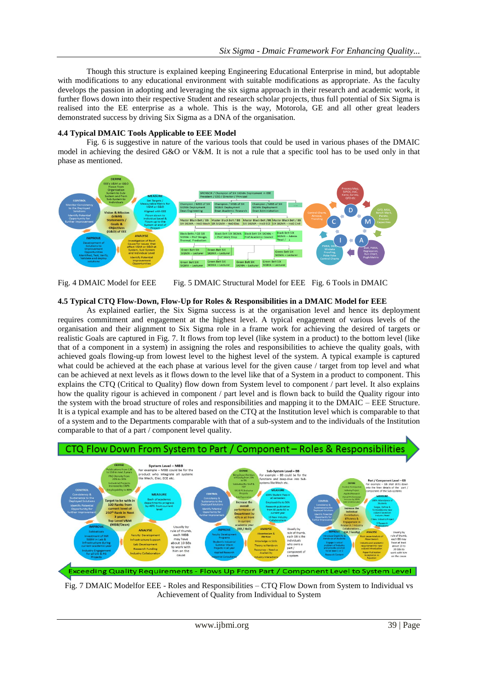Though this structure is explained keeping Engineering Educational Enterprise in mind, but adoptable with modifications to any educational environment with suitable modifications as appropriate. As the faculty develops the passion in adopting and leveraging the six sigma approach in their research and academic work, it further flows down into their respective Student and research scholar projects, thus full potential of Six Sigma is realised into the EE enterprise as a whole. This is the way, Motorola, GE and all other great leaders demonstrated success by driving Six Sigma as a DNA of the organisation.

### **4.4 Typical DMAIC Tools Applicable to EEE Model**

Fig. 6 is suggestive in nature of the various tools that could be used in various phases of the DMAIC model in achieving the desired G&O or V&M. It is not a rule that a specific tool has to be used only in that phase as mentioned.



Fig. 4 DMAIC Model for EEE Fig. 5 DMAIC Structural Model for EEE Fig. 6 Tools in DMAIC

#### **4.5 Typical CTQ Flow-Down, Flow-Up for Roles & Responsibilities in a DMAIC Model for EEE**

As explained earlier, the Six Sigma success is at the organisation level and hence its deployment requires commitment and engagement at the highest level. A typical engagement of various levels of the organisation and their alignment to Six Sigma role in a frame work for achieving the desired of targets or realistic Goals are captured in Fig. 7. It flows from top level (like system in a product) to the bottom level (like that of a component in a system) in assigning the roles and responsibilities to achieve the quality goals, with achieved goals flowing-up from lowest level to the highest level of the system. A typical example is captured what could be achieved at the each phase at various level for the given cause / target from top level and what can be achieved at next levels as it flows down to the level like that of a System in a product to component. This explains the CTQ (Critical to Quality) flow down from System level to component / part level. It also explains how the quality rigour is achieved in component / part level and is flown back to build the Quality rigour into the system with the broad structure of roles and responsibilities and mapping it to the DMAIC – EEE Structure. It is a typical example and has to be altered based on the CTQ at the Institution level which is comparable to that of a system and to the Departments comparable with that of a sub-system and to the individuals of the Institution comparable to that of a part / component level quality.



Fig. 7 DMAIC Modelfor EEE - Roles and Responsibilities – CTQ Flow Down from System to Individual vs Achievement of Quality from Individual to System